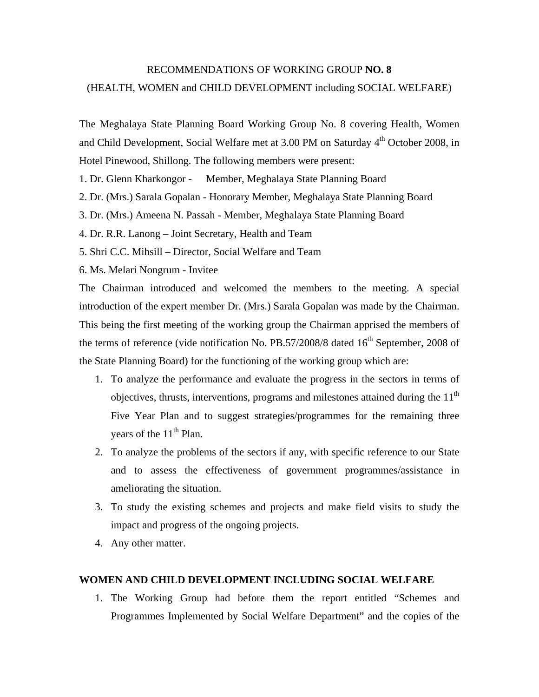## RECOMMENDATIONS OF WORKING GROUP **NO. 8**  (HEALTH, WOMEN and CHILD DEVELOPMENT including SOCIAL WELFARE)

The Meghalaya State Planning Board Working Group No. 8 covering Health, Women and Child Development, Social Welfare met at 3.00 PM on Saturday 4<sup>th</sup> October 2008, in Hotel Pinewood, Shillong. The following members were present:

1. Dr. Glenn Kharkongor - Member, Meghalaya State Planning Board

2. Dr. (Mrs.) Sarala Gopalan - Honorary Member, Meghalaya State Planning Board

3. Dr. (Mrs.) Ameena N. Passah - Member, Meghalaya State Planning Board

4. Dr. R.R. Lanong – Joint Secretary, Health and Team

5. Shri C.C. Mihsill – Director, Social Welfare and Team

6. Ms. Melari Nongrum - Invitee

The Chairman introduced and welcomed the members to the meeting. A special introduction of the expert member Dr. (Mrs.) Sarala Gopalan was made by the Chairman. This being the first meeting of the working group the Chairman apprised the members of the terms of reference (vide notification No. PB.57/2008/8 dated  $16<sup>th</sup>$  September, 2008 of the State Planning Board) for the functioning of the working group which are:

- 1. To analyze the performance and evaluate the progress in the sectors in terms of objectives, thrusts, interventions, programs and milestones attained during the  $11<sup>th</sup>$ Five Year Plan and to suggest strategies/programmes for the remaining three years of the  $11<sup>th</sup>$  Plan.
- 2. To analyze the problems of the sectors if any, with specific reference to our State and to assess the effectiveness of government programmes/assistance in ameliorating the situation.
- 3. To study the existing schemes and projects and make field visits to study the impact and progress of the ongoing projects.
- 4. Any other matter.

## **WOMEN AND CHILD DEVELOPMENT INCLUDING SOCIAL WELFARE**

1. The Working Group had before them the report entitled "Schemes and Programmes Implemented by Social Welfare Department" and the copies of the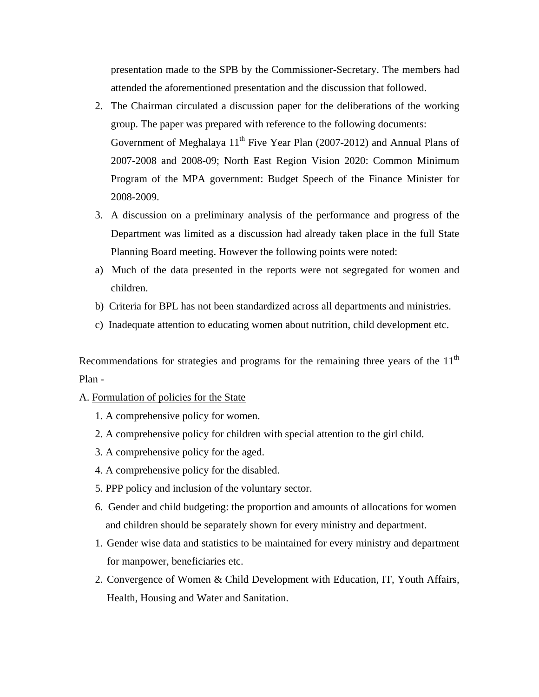presentation made to the SPB by the Commissioner-Secretary. The members had attended the aforementioned presentation and the discussion that followed.

- 2. The Chairman circulated a discussion paper for the deliberations of the working group. The paper was prepared with reference to the following documents: Government of Meghalaya  $11<sup>th</sup>$  Five Year Plan (2007-2012) and Annual Plans of 2007-2008 and 2008-09; North East Region Vision 2020: Common Minimum Program of the MPA government: Budget Speech of the Finance Minister for 2008-2009.
- 3. A discussion on a preliminary analysis of the performance and progress of the Department was limited as a discussion had already taken place in the full State Planning Board meeting. However the following points were noted:
- a) Much of the data presented in the reports were not segregated for women and children.
- b) Criteria for BPL has not been standardized across all departments and ministries.
- c) Inadequate attention to educating women about nutrition, child development etc.

Recommendations for strategies and programs for the remaining three years of the  $11<sup>th</sup>$ Plan -

- A. Formulation of policies for the State
	- 1. A comprehensive policy for women.
	- 2. A comprehensive policy for children with special attention to the girl child.
	- 3. A comprehensive policy for the aged.
	- 4. A comprehensive policy for the disabled.
	- 5. PPP policy and inclusion of the voluntary sector.
	- 6. Gender and child budgeting: the proportion and amounts of allocations for women and children should be separately shown for every ministry and department.
	- 1. Gender wise data and statistics to be maintained for every ministry and department for manpower, beneficiaries etc.
	- 2. Convergence of Women & Child Development with Education, IT, Youth Affairs, Health, Housing and Water and Sanitation.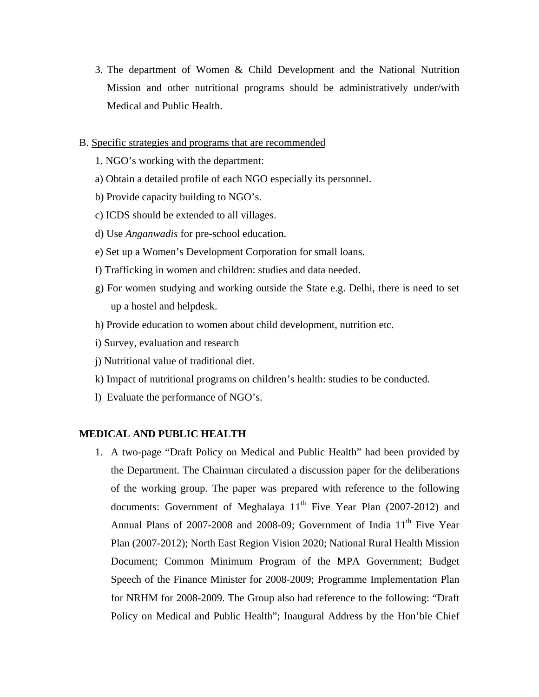3. The department of Women & Child Development and the National Nutrition Mission and other nutritional programs should be administratively under/with Medical and Public Health.

## B. Specific strategies and programs that are recommended

- 1. NGO's working with the department:
- a) Obtain a detailed profile of each NGO especially its personnel.
- b) Provide capacity building to NGO's.
- c) ICDS should be extended to all villages.
- d) Use *Anganwadis* for pre-school education.
- e) Set up a Women's Development Corporation for small loans.
- f) Trafficking in women and children: studies and data needed.
- g) For women studying and working outside the State e.g. Delhi, there is need to set up a hostel and helpdesk.
- h) Provide education to women about child development, nutrition etc.
- i) Survey, evaluation and research
- j) Nutritional value of traditional diet.
- k) Impact of nutritional programs on children's health: studies to be conducted.
- l) Evaluate the performance of NGO's.

## **MEDICAL AND PUBLIC HEALTH**

1. A two-page "Draft Policy on Medical and Public Health" had been provided by the Department. The Chairman circulated a discussion paper for the deliberations of the working group. The paper was prepared with reference to the following documents: Government of Meghalaya  $11<sup>th</sup>$  Five Year Plan (2007-2012) and Annual Plans of 2007-2008 and 2008-09; Government of India 11<sup>th</sup> Five Year Plan (2007-2012); North East Region Vision 2020; National Rural Health Mission Document; Common Minimum Program of the MPA Government; Budget Speech of the Finance Minister for 2008-2009; Programme Implementation Plan for NRHM for 2008-2009. The Group also had reference to the following: "Draft Policy on Medical and Public Health"; Inaugural Address by the Hon'ble Chief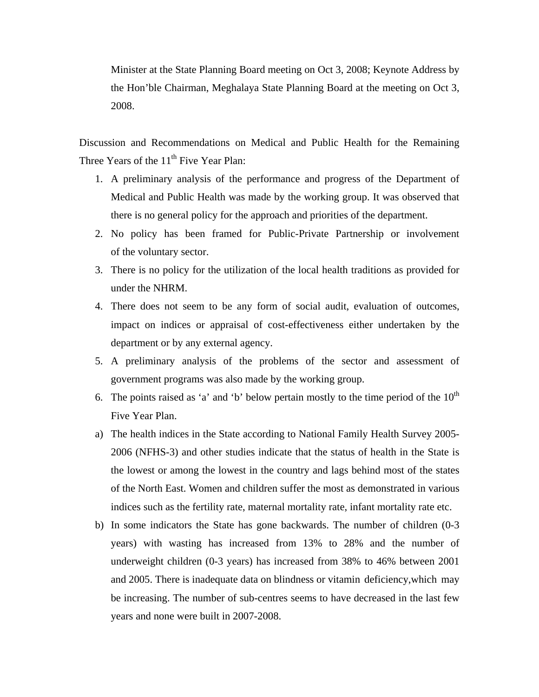Minister at the State Planning Board meeting on Oct 3, 2008; Keynote Address by the Hon'ble Chairman, Meghalaya State Planning Board at the meeting on Oct 3, 2008.

Discussion and Recommendations on Medical and Public Health for the Remaining Three Years of the  $11<sup>th</sup>$  Five Year Plan:

- 1. A preliminary analysis of the performance and progress of the Department of Medical and Public Health was made by the working group. It was observed that there is no general policy for the approach and priorities of the department.
- 2. No policy has been framed for Public-Private Partnership or involvement of the voluntary sector.
- 3. There is no policy for the utilization of the local health traditions as provided for under the NHRM.
- 4. There does not seem to be any form of social audit, evaluation of outcomes, impact on indices or appraisal of cost-effectiveness either undertaken by the department or by any external agency.
- 5. A preliminary analysis of the problems of the sector and assessment of government programs was also made by the working group.
- 6. The points raised as 'a' and 'b' below pertain mostly to the time period of the  $10<sup>th</sup>$ Five Year Plan.
- a) The health indices in the State according to National Family Health Survey 2005- 2006 (NFHS-3) and other studies indicate that the status of health in the State is the lowest or among the lowest in the country and lags behind most of the states of the North East. Women and children suffer the most as demonstrated in various indices such as the fertility rate, maternal mortality rate, infant mortality rate etc.
- b) In some indicators the State has gone backwards. The number of children (0-3 years) with wasting has increased from 13% to 28% and the number of underweight children (0-3 years) has increased from 38% to 46% between 2001 and 2005. There is inadequate data on blindness or vitamin deficiency,which may be increasing. The number of sub-centres seems to have decreased in the last few years and none were built in 2007-2008.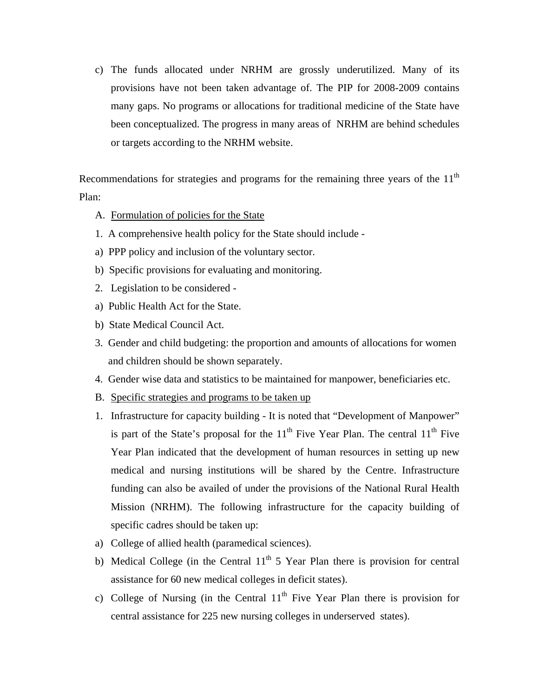c) The funds allocated under NRHM are grossly underutilized. Many of its provisions have not been taken advantage of. The PIP for 2008-2009 contains many gaps. No programs or allocations for traditional medicine of the State have been conceptualized. The progress in many areas of NRHM are behind schedules or targets according to the NRHM website.

Recommendations for strategies and programs for the remaining three years of the  $11<sup>th</sup>$ Plan:

- A. Formulation of policies for the State
- 1. A comprehensive health policy for the State should include -
- a) PPP policy and inclusion of the voluntary sector.
- b) Specific provisions for evaluating and monitoring.
- 2. Legislation to be considered -
- a) Public Health Act for the State.
- b) State Medical Council Act.
- 3. Gender and child budgeting: the proportion and amounts of allocations for women and children should be shown separately.
- 4. Gender wise data and statistics to be maintained for manpower, beneficiaries etc.
- B. Specific strategies and programs to be taken up
- 1. Infrastructure for capacity building It is noted that "Development of Manpower" is part of the State's proposal for the  $11<sup>th</sup>$  Five Year Plan. The central  $11<sup>th</sup>$  Five Year Plan indicated that the development of human resources in setting up new medical and nursing institutions will be shared by the Centre. Infrastructure funding can also be availed of under the provisions of the National Rural Health Mission (NRHM). The following infrastructure for the capacity building of specific cadres should be taken up:
- a) College of allied health (paramedical sciences).
- b) Medical College (in the Central  $11<sup>th</sup> 5$  Year Plan there is provision for central assistance for 60 new medical colleges in deficit states).
- c) College of Nursing (in the Central  $11<sup>th</sup>$  Five Year Plan there is provision for central assistance for 225 new nursing colleges in underserved states).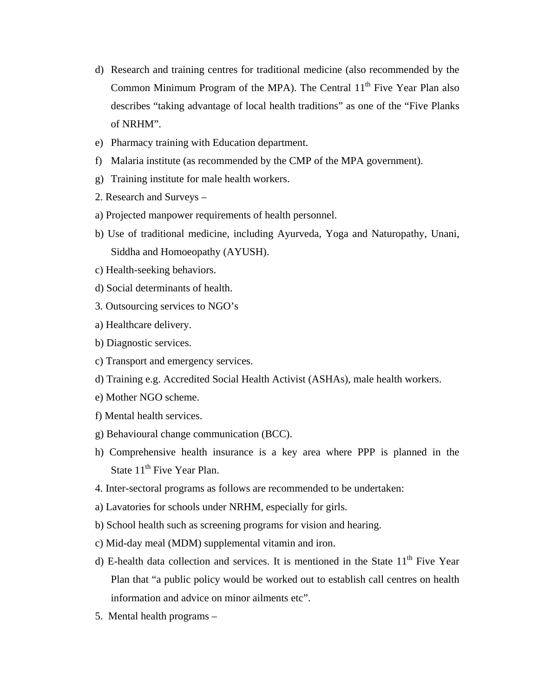- d) Research and training centres for traditional medicine (also recommended by the Common Minimum Program of the MPA). The Central  $11<sup>th</sup>$  Five Year Plan also describes "taking advantage of local health traditions" as one of the "Five Planks of NRHM".
- e) Pharmacy training with Education department.
- f) Malaria institute (as recommended by the CMP of the MPA government).
- g) Training institute for male health workers.
- 2. Research and Surveys –
- a) Projected manpower requirements of health personnel.
- b) Use of traditional medicine, including Ayurveda, Yoga and Naturopathy, Unani, Siddha and Homoeopathy (AYUSH).
- c) Health-seeking behaviors.
- d) Social determinants of health.
- 3. Outsourcing services to NGO's
- a) Healthcare delivery.
- b) Diagnostic services.
- c) Transport and emergency services.
- d) Training e.g. Accredited Social Health Activist (ASHAs), male health workers.
- e) Mother NGO scheme.
- f) Mental health services.
- g) Behavioural change communication (BCC).
- h) Comprehensive health insurance is a key area where PPP is planned in the State 11<sup>th</sup> Five Year Plan.
- 4. Inter-sectoral programs as follows are recommended to be undertaken:
- a) Lavatories for schools under NRHM, especially for girls.
- b) School health such as screening programs for vision and hearing.
- c) Mid-day meal (MDM) supplemental vitamin and iron.
- d) E-health data collection and services. It is mentioned in the State  $11<sup>th</sup>$  Five Year Plan that "a public policy would be worked out to establish call centres on health information and advice on minor ailments etc".
- 5. Mental health programs –